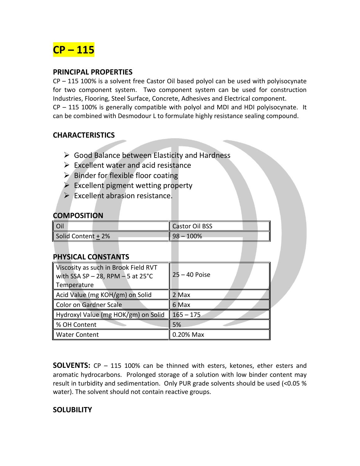

#### **PRINCIPAL PROPERTIES**

CP – 115 100% is a solvent free Castor Oil based polyol can be used with polyisocynate for two component system. Two component system can be used for construction Industries, Flooring, Steel Surface, Concrete, Adhesives and Electrical component. CP – 115 100% is generally compatible with polyol and MDI and HDI polyisocynate. It can be combined with Desmodour L to formulate highly resistance sealing compound.

# **CHARACTERISTICS**

- $\triangleright$  Good Balance between Elasticity and Hardness
- $\triangleright$  Excellent water and acid resistance
- $\triangleright$  Binder for flexible floor coating
- $\triangleright$  Excellent pigment wetting property
- $\triangleright$  Excellent abrasion resistance.

#### **COMPOSITION**

| Oil                | Castor Oil BSS |
|--------------------|----------------|
| Solid Content + 2% | $98 - 100%$    |

## **PHYSICAL CONSTANTS**

| Viscosity as such in Brook Field RVT<br>with SSA SP $-$ 28, RPM $-$ 5 at 25°C<br>∥ Temperature | $25 - 40$ Poise |
|------------------------------------------------------------------------------------------------|-----------------|
| Acid Value (mg KOH/gm) on Solid                                                                | 2 Max           |
| Color on Gardner Scale                                                                         | 6 Max           |
| Hydroxyl Value (mg HOK/gm) on Solid                                                            | $165 - 175$     |
| % OH Content                                                                                   | 5%              |
| Water Content                                                                                  | 0.20% Max       |

**SOLVENTS:** CP – 115 100% can be thinned with esters, ketones, ether esters and aromatic hydrocarbons. Prolonged storage of a solution with low binder content may result in turbidity and sedimentation. Only PUR grade solvents should be used (<0.05 % water). The solvent should not contain reactive groups.

## **SOLUBILITY**